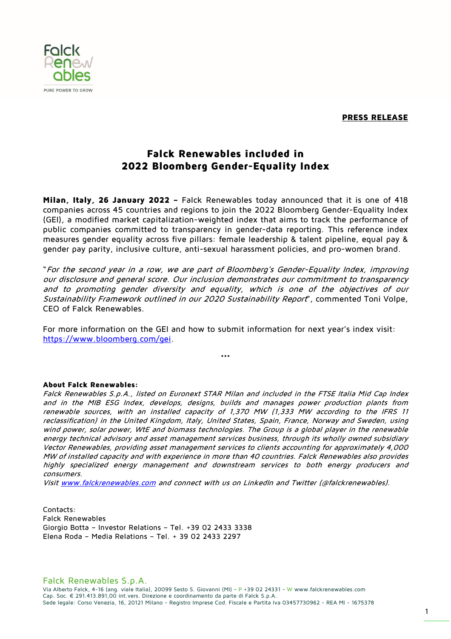**PRESS RELEASE** 



## **Falck Renewables included in 2022 Bloomberg Gender-Equality Index**

**Milan, Italy, 26 January 2022 –** Falck Renewables today announced that it is one of 418 companies across 45 countries and regions to join the 2022 Bloomberg Gender-Equality Index (GEI), a modified market capitalization-weighted index that aims to track the performance of public companies committed to transparency in gender-data reporting. This reference index measures gender equality across five pillars: female leadership & talent pipeline, equal pay & gender pay parity, inclusive culture, anti-sexual harassment policies, and pro-women brand.

"For the second year in a row, we are part of Bloomberg's Gender-Equality Index, improving our disclosure and general score. Our inclusion demonstrates our commitment to transparency and to promoting gender diversity and equality, which is one of the objectives of our Sustainability Framework outlined in our 2020 Sustainability Report", commented Toni Volpe, CEO of Falck Renewables.

For more information on the GEI and how to submit information for next year's index visit: https://www.bloomberg.com/gei.

## **\*\*\***

## **About Falck Renewables:**

Falck Renewables S.p.A., listed on Euronext STAR Milan and included in the FTSE Italia Mid Cap Index and in the MIB ESG Index, develops, designs, builds and manages power production plants from renewable sources, with an installed capacity of 1,370 MW (1,333 MW according to the IFRS 11 reclassification) in the United Kingdom, Italy, United States, Spain, France, Norway and Sweden, using wind power, solar power, WtE and biomass technologies. The Group is a global player in the renewable energy technical advisory and asset management services business, through its wholly owned subsidiary Vector Renewables, providing asset management services to clients accounting for approximately 4,000 MW of installed capacity and with experience in more than 40 countries. Falck Renewables also provides highly specialized energy management and downstream services to both energy producers and consumers.

Visit www.falckrenewables.com and connect with us on LinkedIn and Twitter (@falckrenewables).

Contacts: Falck Renewables Giorgio Botta – Investor Relations – Tel. +39 02 2433 3338 Elena Roda – Media Relations – Tel. + 39 02 2433 2297